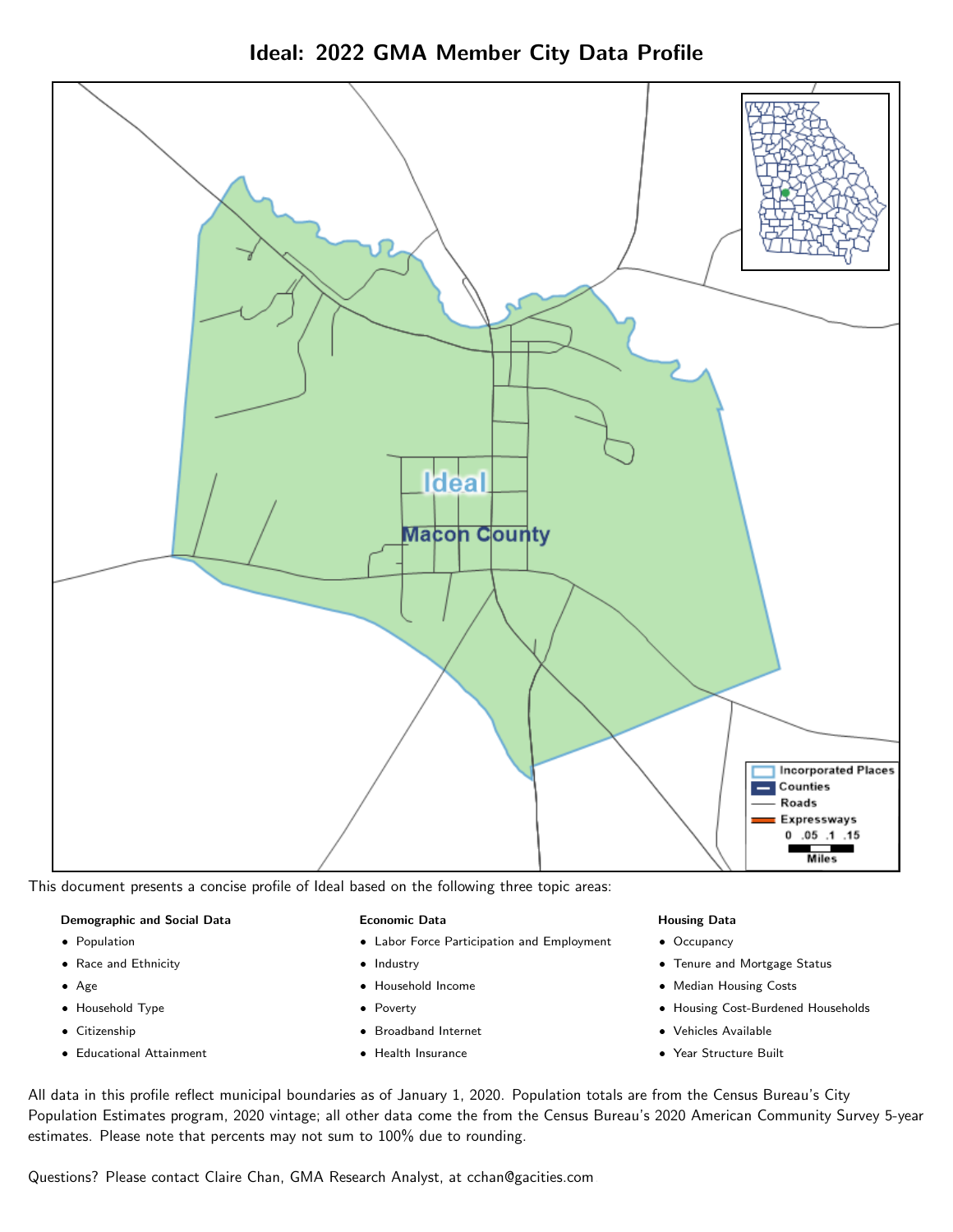



This document presents a concise profile of Ideal based on the following three topic areas:

# Demographic and Social Data

- **•** Population
- Race and Ethnicity
- Age
- Household Type
- **Citizenship**
- Educational Attainment

# Economic Data

- Labor Force Participation and Employment
- Industry
- Household Income
- Poverty
- Broadband Internet
- Health Insurance

# Housing Data

- Occupancy
- Tenure and Mortgage Status
- Median Housing Costs
- Housing Cost-Burdened Households
- Vehicles Available
- Year Structure Built

All data in this profile reflect municipal boundaries as of January 1, 2020. Population totals are from the Census Bureau's City Population Estimates program, 2020 vintage; all other data come the from the Census Bureau's 2020 American Community Survey 5-year estimates. Please note that percents may not sum to 100% due to rounding.

Questions? Please contact Claire Chan, GMA Research Analyst, at [cchan@gacities.com.](mailto:cchan@gacities.com)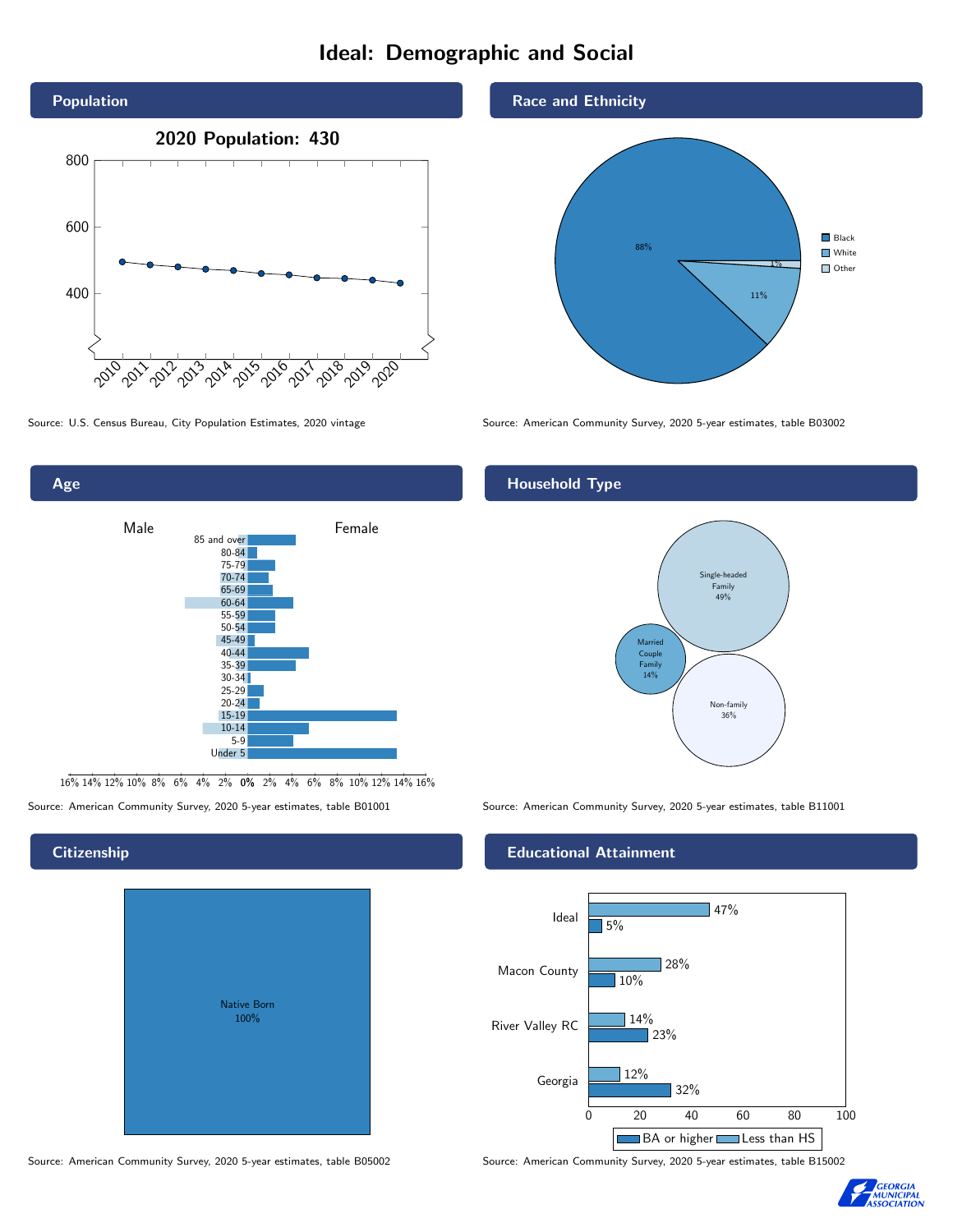# Ideal: Demographic and Social



Age

**Citizenship** 



16% 14% 12% 10% 8% 6% 4% 2% 0% 2% 4% 6% 8% 10% 12% 14% 16%

Source: American Community Survey, 2020 5-year estimates, table B01001 Source: American Community Survey, 2020 5-year estimates, table B11001

# Native Born 100%

#### Race and Ethnicity



Source: U.S. Census Bureau, City Population Estimates, 2020 vintage Source: American Community Survey, 2020 5-year estimates, table B03002

# Household Type



# Educational Attainment



Source: American Community Survey, 2020 5-year estimates, table B05002 Source: American Community Survey, 2020 5-year estimates, table B15002

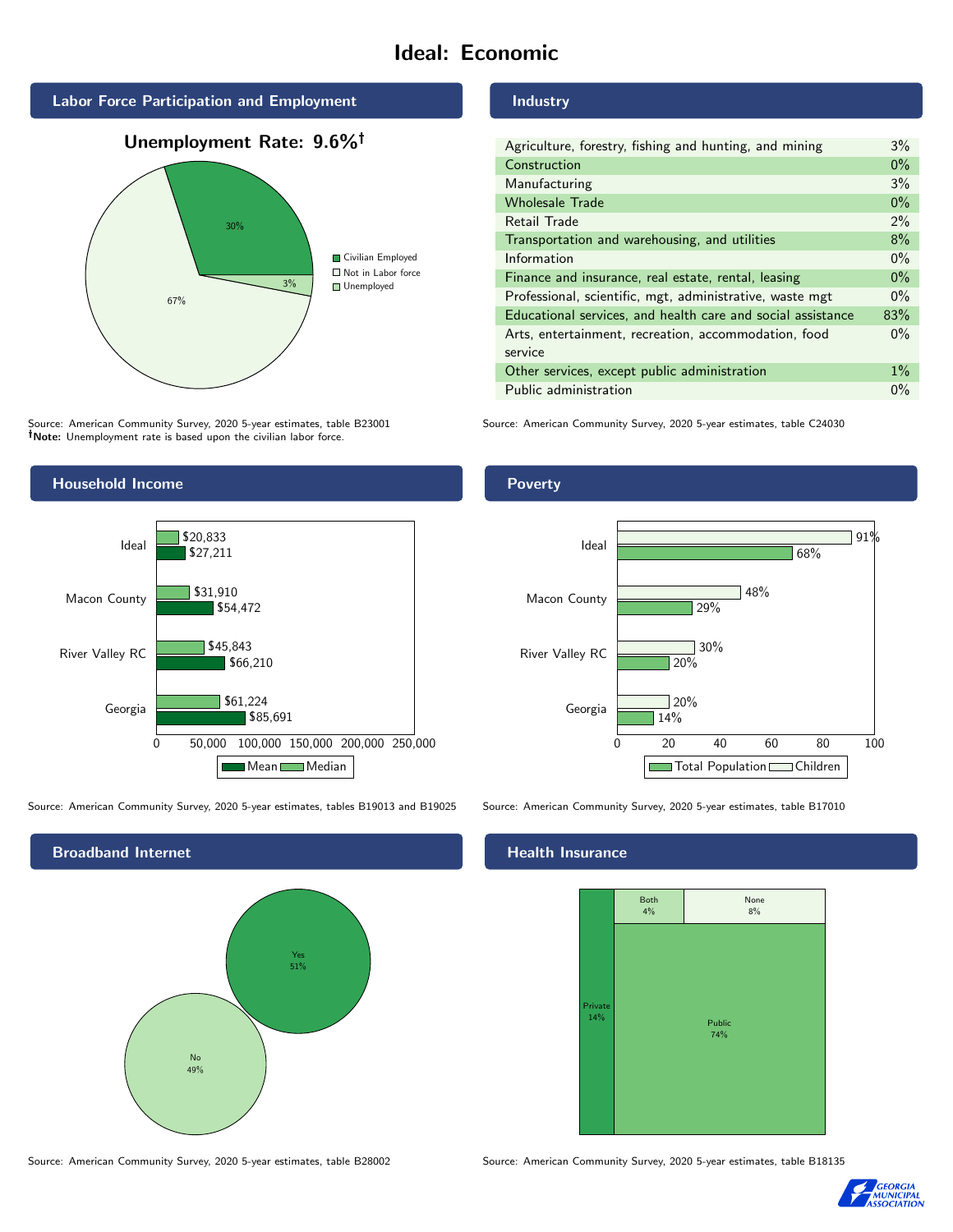# Ideal: Economic



Unemployment Rate: 9.6%



Source: American Community Survey, 2020 5-year estimates, table B23001 Note: Unemployment rate is based upon the civilian labor force.



| Agriculture, forestry, fishing and hunting, and mining      | $3\%$ |
|-------------------------------------------------------------|-------|
| Construction                                                | $0\%$ |
| Manufacturing                                               | 3%    |
| <b>Wholesale Trade</b>                                      | $0\%$ |
| Retail Trade                                                | $2\%$ |
| Transportation and warehousing, and utilities               | 8%    |
| Information                                                 | $0\%$ |
| Finance and insurance, real estate, rental, leasing         | $0\%$ |
| Professional, scientific, mgt, administrative, waste mgt    | $0\%$ |
| Educational services, and health care and social assistance | 83%   |
| Arts, entertainment, recreation, accommodation, food        | $0\%$ |
| service                                                     |       |
| Other services, except public administration                | $1\%$ |
| Public administration                                       | $0\%$ |

Source: American Community Survey, 2020 5-year estimates, table C24030



Source: American Community Survey, 2020 5-year estimates, tables B19013 and B19025 Source: American Community Survey, 2020 5-year estimates, table B17010



14%

20%

 $720%$ 

29%

30%

# Health Insurance

Georgia

Ideal



0 20 40 60 80 100

Total Population Children

48%

68%

91%

Source: American Community Survey, 2020 5-year estimates, table B28002 Source: American Community Survey, 2020 5-year estimates, table B18135